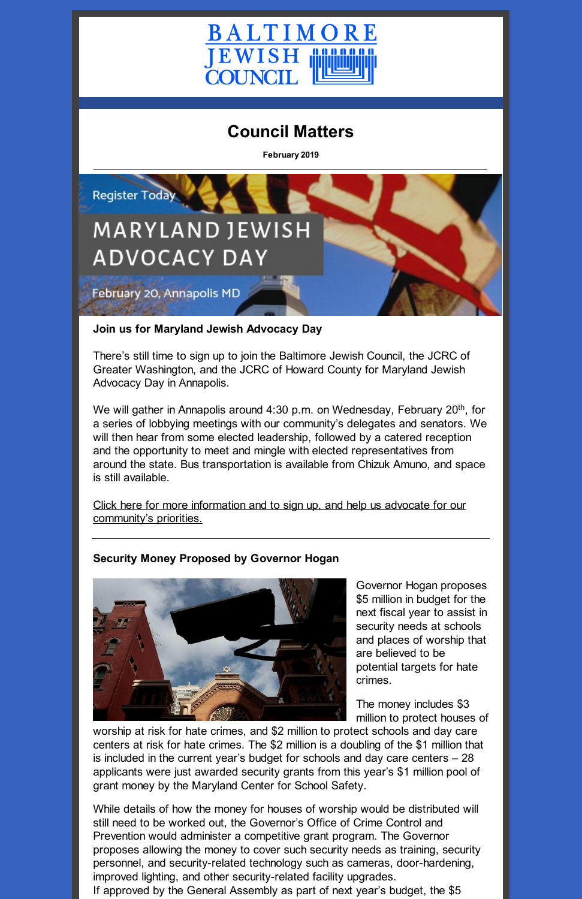

# **Council Matters**

**February 2019**



#### **Join us for Maryland Jewish Advocacy Day**

There's still time to sign up to join the Baltimore Jewish Council, the JCRC of Greater Washington, and the JCRC of Howard County for Maryland Jewish Advocacy Day in Annapolis.

We will gather in Annapolis around 4:30 p.m. on Wednesday, February 20<sup>th</sup>, for a series of lobbying meetings with our community's delegates and senators. We will then hear from some elected leadership, followed by a catered reception and the opportunity to meet and mingle with elected representatives from around the state. Bus transportation is available from Chizuk Amuno, and space is still available.

Click here for more information and to sign up, and help us advocate for our [community's](http://baltjc.org/advocacyday19) priorities.

# **Security Money Proposed by Governor Hogan**



Governor Hogan proposes \$5 million in budget for the next fiscal year to assist in security needs at schools and places of worship that are believed to be

potential targets for hate crimes.

The money includes \$3 million to protect houses of

worship at risk for hate crimes, and \$2 million to protect schools and day care centers at risk for hate crimes. The \$2 million is a doubling of the \$1 million that is included in the current year's budget for schools and day care centers – 28 applicants were just awarded security grants from this year's \$1 million pool of grant money by the Maryland Center for School Safety.

While details of how the money for houses of worship would be distributed will still need to be worked out, the Governor's Office of Crime Control and Prevention would administer a competitive grant program. The Governor proposes allowing the money to cover such security needs as training, security personnel, and security-related technology such as cameras, door-hardening, improved lighting, and other security-related facility upgrades. If approved by the General Assembly as part of next year's budget, the \$5